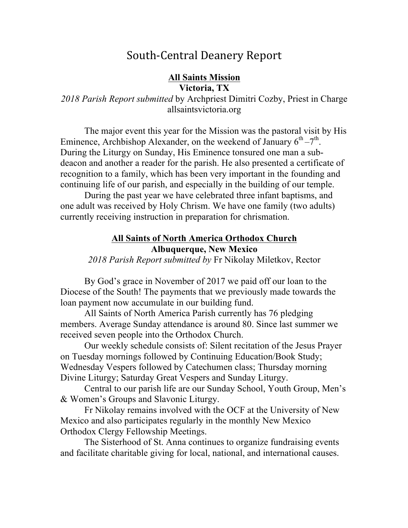# South-Central Deanery Report

### **All Saints Mission Victoria, TX**

*2018 Parish Report submitted* by Archpriest Dimitri Cozby, Priest in Charge allsaintsvictoria.org

The major event this year for the Mission was the pastoral visit by His Eminence, Archbishop Alexander, on the weekend of January  $6^{th} - 7^{th}$ . During the Liturgy on Sunday, His Eminence tonsured one man a subdeacon and another a reader for the parish. He also presented a certificate of recognition to a family, which has been very important in the founding and continuing life of our parish, and especially in the building of our temple.

During the past year we have celebrated three infant baptisms, and one adult was received by Holy Chrism. We have one family (two adults) currently receiving instruction in preparation for chrismation.

### **All Saints of North America Orthodox Church Albuquerque, New Mexico**

*2018 Parish Report submitted by* Fr Nikolay Miletkov, Rector

By God's grace in November of 2017 we paid off our loan to the Diocese of the South! The payments that we previously made towards the loan payment now accumulate in our building fund.

All Saints of North America Parish currently has 76 pledging members. Average Sunday attendance is around 80. Since last summer we received seven people into the Orthodox Church.

Our weekly schedule consists of: Silent recitation of the Jesus Prayer on Tuesday mornings followed by Continuing Education/Book Study; Wednesday Vespers followed by Catechumen class; Thursday morning Divine Liturgy; Saturday Great Vespers and Sunday Liturgy.

Central to our parish life are our Sunday School, Youth Group, Men's & Women's Groups and Slavonic Liturgy.

Fr Nikolay remains involved with the OCF at the University of New Mexico and also participates regularly in the monthly New Mexico Orthodox Clergy Fellowship Meetings.

The Sisterhood of St. Anna continues to organize fundraising events and facilitate charitable giving for local, national, and international causes.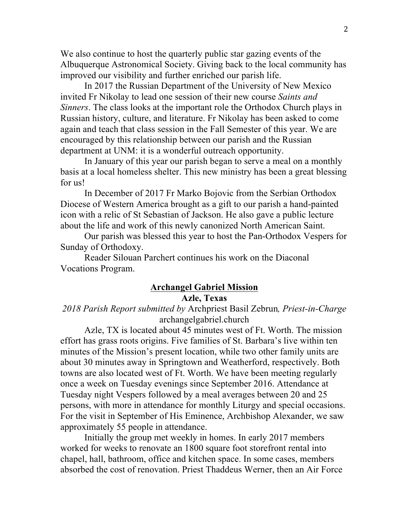We also continue to host the quarterly public star gazing events of the Albuquerque Astronomical Society. Giving back to the local community has improved our visibility and further enriched our parish life.

In 2017 the Russian Department of the University of New Mexico invited Fr Nikolay to lead one session of their new course *Saints and Sinners*. The class looks at the important role the Orthodox Church plays in Russian history, culture, and literature. Fr Nikolay has been asked to come again and teach that class session in the Fall Semester of this year. We are encouraged by this relationship between our parish and the Russian department at UNM: it is a wonderful outreach opportunity.

In January of this year our parish began to serve a meal on a monthly basis at a local homeless shelter. This new ministry has been a great blessing for us!

In December of 2017 Fr Marko Bojovic from the Serbian Orthodox Diocese of Western America brought as a gift to our parish a hand-painted icon with a relic of St Sebastian of Jackson. He also gave a public lecture about the life and work of this newly canonized North American Saint.

Our parish was blessed this year to host the Pan-Orthodox Vespers for Sunday of Orthodoxy.

Reader Silouan Parchert continues his work on the Diaconal Vocations Program.

### **Archangel Gabriel Mission Azle, Texas**

*2018 Parish Report submitted by* Archpriest Basil Zebrun*, Priest-in-Charge* archangelgabriel.church

Azle, TX is located about 45 minutes west of Ft. Worth. The mission effort has grass roots origins. Five families of St. Barbara's live within ten minutes of the Mission's present location, while two other family units are about 30 minutes away in Springtown and Weatherford, respectively. Both towns are also located west of Ft. Worth. We have been meeting regularly once a week on Tuesday evenings since September 2016. Attendance at Tuesday night Vespers followed by a meal averages between 20 and 25 persons, with more in attendance for monthly Liturgy and special occasions. For the visit in September of His Eminence, Archbishop Alexander, we saw approximately 55 people in attendance.

Initially the group met weekly in homes. In early 2017 members worked for weeks to renovate an 1800 square foot storefront rental into chapel, hall, bathroom, office and kitchen space. In some cases, members absorbed the cost of renovation. Priest Thaddeus Werner, then an Air Force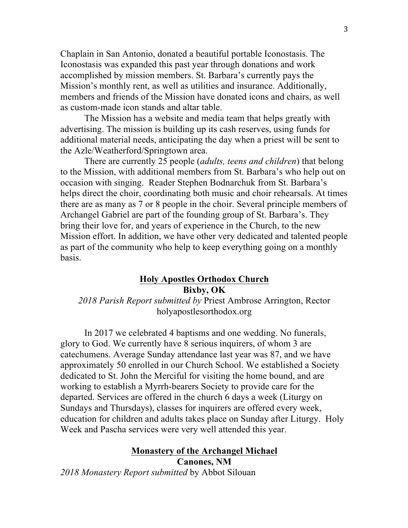Chaplain in San Antonio, donated a beautiful portable Iconostasis. The Iconostasis was expanded this past year through donations and work accomplished by mission members. St. Barbara's currently pays the Mission's monthly rent, as well as utilities and insurance. Additionally, members and friends of the Mission have donated icons and chairs, as well as custom-made icon stands and altar table.

The Mission has a website and media team that helps greatly with advertising. The mission is building up its cash reserves, using funds for additional material needs, anticipating the day when a priest will be sent to the Azle/Weatherford/Springtown area.

There are currently 25 people (*adults, teens and children*) that belong to the Mission, with additional members from St. Barbara's who help out on occasion with singing. Reader Stephen Bodnarchuk from St. Barbara's helps direct the choir, coordinating both music and choir rehearsals. At times there are as many as 7 or 8 people in the choir. Several principle members of Archangel Gabriel are part of the founding group of St. Barbara's. They bring their love for, and years of experience in the Church, to the new Mission effort. In addition, we have other very dedicated and talented people as part of the community who help to keep everything going on a monthly basis.

### **Holy Apostles Orthodox Church Bixby, OK**

*2018 Parish Report submitted by* Priest Ambrose Arrington, Rector holyapostlesorthodox.org

In 2017 we celebrated 4 baptisms and one wedding. No funerals, glory to God. We currently have 8 serious inquirers, of whom 3 are catechumens. Average Sunday attendance last year was 87, and we have approximately 50 enrolled in our Church School. We established a Society dedicated to St. John the Merciful for visiting the home bound, and are working to establish a Myrrh-bearers Society to provide care for the departed. Services are offered in the church 6 days a week (Liturgy on Sundays and Thursdays), classes for inquirers are offered every week, education for children and adults takes place on Sunday after Liturgy. Holy Week and Pascha services were very well attended this year.

### **Monastery of the Archangel Michael Canones, NM**

*2018 Monastery Report submitted* by Abbot Silouan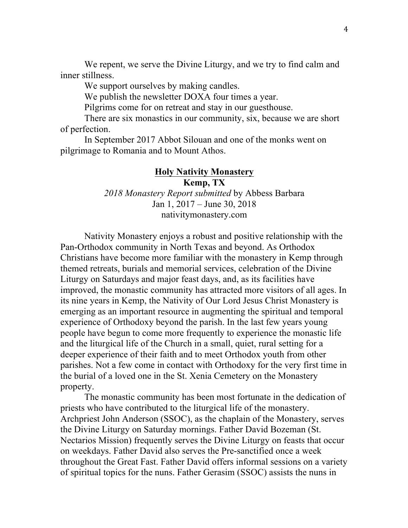We repent, we serve the Divine Liturgy, and we try to find calm and inner stillness.

We support ourselves by making candles.

We publish the newsletter DOXA four times a year.

Pilgrims come for on retreat and stay in our guesthouse.

There are six monastics in our community, six, because we are short of perfection.

In September 2017 Abbot Silouan and one of the monks went on pilgrimage to Romania and to Mount Athos.

#### **Holy Nativity Monastery**

**Kemp, TX** *2018 Monastery Report submitted* by Abbess Barbara Jan 1, 2017 – June 30, 2018 nativitymonastery.com

Nativity Monastery enjoys a robust and positive relationship with the Pan-Orthodox community in North Texas and beyond. As Orthodox Christians have become more familiar with the monastery in Kemp through themed retreats, burials and memorial services, celebration of the Divine Liturgy on Saturdays and major feast days, and, as its facilities have improved, the monastic community has attracted more visitors of all ages. In its nine years in Kemp, the Nativity of Our Lord Jesus Christ Monastery is emerging as an important resource in augmenting the spiritual and temporal experience of Orthodoxy beyond the parish. In the last few years young people have begun to come more frequently to experience the monastic life and the liturgical life of the Church in a small, quiet, rural setting for a deeper experience of their faith and to meet Orthodox youth from other parishes. Not a few come in contact with Orthodoxy for the very first time in the burial of a loved one in the St. Xenia Cemetery on the Monastery property.

The monastic community has been most fortunate in the dedication of priests who have contributed to the liturgical life of the monastery. Archpriest John Anderson (SSOC), as the chaplain of the Monastery, serves the Divine Liturgy on Saturday mornings. Father David Bozeman (St. Nectarios Mission) frequently serves the Divine Liturgy on feasts that occur on weekdays. Father David also serves the Pre-sanctified once a week throughout the Great Fast. Father David offers informal sessions on a variety of spiritual topics for the nuns. Father Gerasim (SSOC) assists the nuns in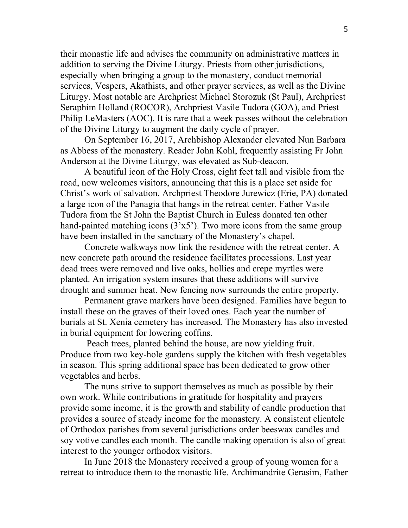their monastic life and advises the community on administrative matters in addition to serving the Divine Liturgy. Priests from other jurisdictions, especially when bringing a group to the monastery, conduct memorial services, Vespers, Akathists, and other prayer services, as well as the Divine Liturgy. Most notable are Archpriest Michael Storozuk (St Paul), Archpriest Seraphim Holland (ROCOR), Archpriest Vasile Tudora (GOA), and Priest Philip LeMasters (AOC). It is rare that a week passes without the celebration of the Divine Liturgy to augment the daily cycle of prayer.

On September 16, 2017, Archbishop Alexander elevated Nun Barbara as Abbess of the monastery. Reader John Kohl, frequently assisting Fr John Anderson at the Divine Liturgy, was elevated as Sub-deacon.

A beautiful icon of the Holy Cross, eight feet tall and visible from the road, now welcomes visitors, announcing that this is a place set aside for Christ's work of salvation. Archpriest Theodore Jurewicz (Erie, PA) donated a large icon of the Panagia that hangs in the retreat center. Father Vasile Tudora from the St John the Baptist Church in Euless donated ten other hand-painted matching icons  $(3 \times 5)$ . Two more icons from the same group have been installed in the sanctuary of the Monastery's chapel.

Concrete walkways now link the residence with the retreat center. A new concrete path around the residence facilitates processions. Last year dead trees were removed and live oaks, hollies and crepe myrtles were planted. An irrigation system insures that these additions will survive drought and summer heat. New fencing now surrounds the entire property.

Permanent grave markers have been designed. Families have begun to install these on the graves of their loved ones. Each year the number of burials at St. Xenia cemetery has increased. The Monastery has also invested in burial equipment for lowering coffins.

Peach trees, planted behind the house, are now yielding fruit. Produce from two key-hole gardens supply the kitchen with fresh vegetables in season. This spring additional space has been dedicated to grow other vegetables and herbs.

The nuns strive to support themselves as much as possible by their own work. While contributions in gratitude for hospitality and prayers provide some income, it is the growth and stability of candle production that provides a source of steady income for the monastery. A consistent clientele of Orthodox parishes from several jurisdictions order beeswax candles and soy votive candles each month. The candle making operation is also of great interest to the younger orthodox visitors.

In June 2018 the Monastery received a group of young women for a retreat to introduce them to the monastic life. Archimandrite Gerasim, Father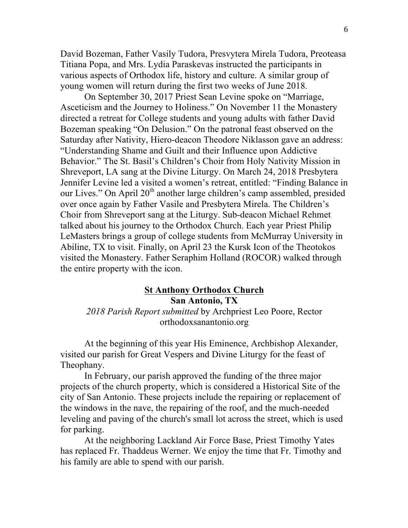David Bozeman, Father Vasily Tudora, Presvytera Mirela Tudora, Preoteasa Titiana Popa, and Mrs. Lydia Paraskevas instructed the participants in various aspects of Orthodox life, history and culture. A similar group of young women will return during the first two weeks of June 2018.

On September 30, 2017 Priest Sean Levine spoke on "Marriage, Asceticism and the Journey to Holiness." On November 11 the Monastery directed a retreat for College students and young adults with father David Bozeman speaking "On Delusion." On the patronal feast observed on the Saturday after Nativity, Hiero-deacon Theodore Niklasson gave an address: "Understanding Shame and Guilt and their Influence upon Addictive Behavior." The St. Basil's Children's Choir from Holy Nativity Mission in Shreveport, LA sang at the Divine Liturgy. On March 24, 2018 Presbytera Jennifer Levine led a visited a women's retreat, entitled: "Finding Balance in our Lives." On April 20<sup>th</sup> another large children's camp assembled, presided over once again by Father Vasile and Presbytera Mirela. The Children's Choir from Shreveport sang at the Liturgy. Sub-deacon Michael Rehmet talked about his journey to the Orthodox Church. Each year Priest Philip LeMasters brings a group of college students from McMurray University in Abiline, TX to visit. Finally, on April 23 the Kursk Icon of the Theotokos visited the Monastery. Father Seraphim Holland (ROCOR) walked through the entire property with the icon.

### **St Anthony Orthodox Church San Antonio, TX**

*2018 Parish Report submitted* by Archpriest Leo Poore, Rector orthodoxsanantonio.org

At the beginning of this year His Eminence, Archbishop Alexander, visited our parish for Great Vespers and Divine Liturgy for the feast of Theophany.

In February, our parish approved the funding of the three major projects of the church property, which is considered a Historical Site of the city of San Antonio. These projects include the repairing or replacement of the windows in the nave, the repairing of the roof, and the much-needed leveling and paving of the church's small lot across the street, which is used for parking.

At the neighboring Lackland Air Force Base, Priest Timothy Yates has replaced Fr. Thaddeus Werner. We enjoy the time that Fr. Timothy and his family are able to spend with our parish.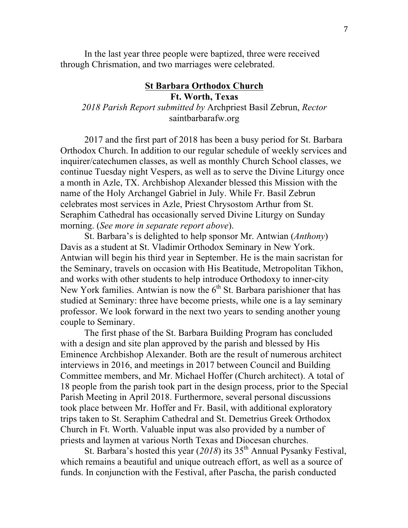In the last year three people were baptized, three were received through Chrismation, and two marriages were celebrated.

### **St Barbara Orthodox Church Ft. Worth, Texas** *2018 Parish Report submitted by* Archpriest Basil Zebrun, *Rector* saintbarbarafw.org

2017 and the first part of 2018 has been a busy period for St. Barbara Orthodox Church. In addition to our regular schedule of weekly services and inquirer/catechumen classes, as well as monthly Church School classes, we continue Tuesday night Vespers, as well as to serve the Divine Liturgy once a month in Azle, TX. Archbishop Alexander blessed this Mission with the name of the Holy Archangel Gabriel in July. While Fr. Basil Zebrun celebrates most services in Azle, Priest Chrysostom Arthur from St. Seraphim Cathedral has occasionally served Divine Liturgy on Sunday morning. (*See more in separate report above*).

St. Barbara's is delighted to help sponsor Mr. Antwian (*Anthony*) Davis as a student at St. Vladimir Orthodox Seminary in New York. Antwian will begin his third year in September. He is the main sacristan for the Seminary, travels on occasion with His Beatitude, Metropolitan Tikhon, and works with other students to help introduce Orthodoxy to inner-city New York families. Antwian is now the  $6<sup>th</sup>$  St. Barbara parishioner that has studied at Seminary: three have become priests, while one is a lay seminary professor. We look forward in the next two years to sending another young couple to Seminary.

The first phase of the St. Barbara Building Program has concluded with a design and site plan approved by the parish and blessed by His Eminence Archbishop Alexander. Both are the result of numerous architect interviews in 2016, and meetings in 2017 between Council and Building Committee members, and Mr. Michael Hoffer (Church architect). A total of 18 people from the parish took part in the design process, prior to the Special Parish Meeting in April 2018. Furthermore, several personal discussions took place between Mr. Hoffer and Fr. Basil, with additional exploratory trips taken to St. Seraphim Cathedral and St. Demetrius Greek Orthodox Church in Ft. Worth. Valuable input was also provided by a number of priests and laymen at various North Texas and Diocesan churches.

St. Barbara's hosted this year (2018) its 35<sup>th</sup> Annual Pysanky Festival, which remains a beautiful and unique outreach effort, as well as a source of funds. In conjunction with the Festival, after Pascha, the parish conducted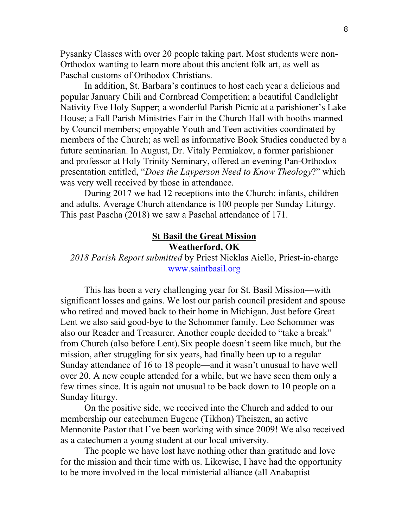Pysanky Classes with over 20 people taking part. Most students were non-Orthodox wanting to learn more about this ancient folk art, as well as Paschal customs of Orthodox Christians.

In addition, St. Barbara's continues to host each year a delicious and popular January Chili and Cornbread Competition; a beautiful Candlelight Nativity Eve Holy Supper; a wonderful Parish Picnic at a parishioner's Lake House; a Fall Parish Ministries Fair in the Church Hall with booths manned by Council members; enjoyable Youth and Teen activities coordinated by members of the Church; as well as informative Book Studies conducted by a future seminarian. In August, Dr. Vitaly Permiakov, a former parishioner and professor at Holy Trinity Seminary, offered an evening Pan-Orthodox presentation entitled, "*Does the Layperson Need to Know Theology*?" which was very well received by those in attendance.

During 2017 we had 12 receptions into the Church: infants, children and adults. Average Church attendance is 100 people per Sunday Liturgy. This past Pascha (2018) we saw a Paschal attendance of 171.

#### **St Basil the Great Mission Weatherford, OK**

# *2018 Parish Report submitted* by Priest Nicklas Aiello, Priest-in-charge www.saintbasil.org

This has been a very challenging year for St. Basil Mission––with significant losses and gains. We lost our parish council president and spouse who retired and moved back to their home in Michigan. Just before Great Lent we also said good-bye to the Schommer family. Leo Schommer was also our Reader and Treasurer. Another couple decided to "take a break" from Church (also before Lent).Six people doesn't seem like much, but the mission, after struggling for six years, had finally been up to a regular Sunday attendance of 16 to 18 people––and it wasn't unusual to have well over 20. A new couple attended for a while, but we have seen them only a few times since. It is again not unusual to be back down to 10 people on a Sunday liturgy.

On the positive side, we received into the Church and added to our membership our catechumen Eugene (Tikhon) Theiszen, an active Mennonite Pastor that I've been working with since 2009! We also received as a catechumen a young student at our local university.

The people we have lost have nothing other than gratitude and love for the mission and their time with us. Likewise, I have had the opportunity to be more involved in the local ministerial alliance (all Anabaptist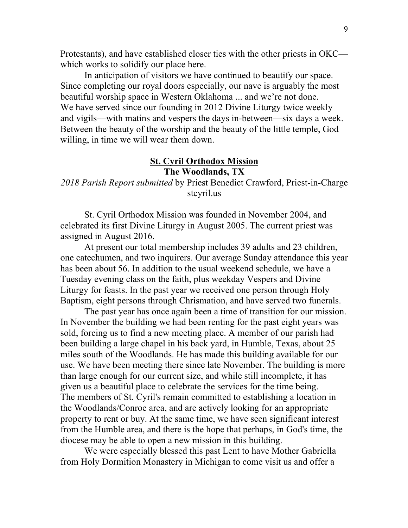Protestants), and have established closer ties with the other priests in OKC which works to solidify our place here.

In anticipation of visitors we have continued to beautify our space. Since completing our royal doors especially, our nave is arguably the most beautiful worship space in Western Oklahoma ... and we're not done. We have served since our founding in 2012 Divine Liturgy twice weekly and vigils––with matins and vespers the days in-between––six days a week. Between the beauty of the worship and the beauty of the little temple, God willing, in time we will wear them down.

### **St. Cyril Orthodox Mission The Woodlands, TX**

# *2018 Parish Report submitted* by Priest Benedict Crawford, Priest-in-Charge stcyril.us

St. Cyril Orthodox Mission was founded in November 2004, and celebrated its first Divine Liturgy in August 2005. The current priest was assigned in August 2016.

At present our total membership includes 39 adults and 23 children, one catechumen, and two inquirers. Our average Sunday attendance this year has been about 56. In addition to the usual weekend schedule, we have a Tuesday evening class on the faith, plus weekday Vespers and Divine Liturgy for feasts. In the past year we received one person through Holy Baptism, eight persons through Chrismation, and have served two funerals.

The past year has once again been a time of transition for our mission. In November the building we had been renting for the past eight years was sold, forcing us to find a new meeting place. A member of our parish had been building a large chapel in his back yard, in Humble, Texas, about 25 miles south of the Woodlands. He has made this building available for our use. We have been meeting there since late November. The building is more than large enough for our current size, and while still incomplete, it has given us a beautiful place to celebrate the services for the time being. The members of St. Cyril's remain committed to establishing a location in the Woodlands/Conroe area, and are actively looking for an appropriate property to rent or buy. At the same time, we have seen significant interest from the Humble area, and there is the hope that perhaps, in God's time, the diocese may be able to open a new mission in this building.

We were especially blessed this past Lent to have Mother Gabriella from Holy Dormition Monastery in Michigan to come visit us and offer a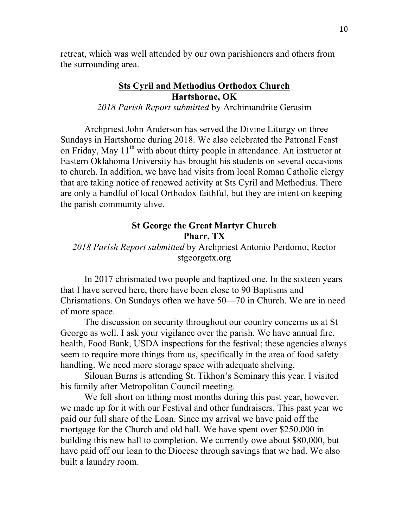retreat, which was well attended by our own parishioners and others from the surrounding area.

# **Sts Cyril and Methodius Orthodox Church Hartshorne, OK**

*2018 Parish Report submitted* by Archimandrite Gerasim

Archpriest John Anderson has served the Divine Liturgy on three Sundays in Hartshorne during 2018. We also celebrated the Patronal Feast on Friday, May  $11<sup>th</sup>$  with about thirty people in attendance. An instructor at Eastern Oklahoma University has brought his students on several occasions to church. In addition, we have had visits from local Roman Catholic clergy that are taking notice of renewed activity at Sts Cyril and Methodius. There are only a handful of local Orthodox faithful, but they are intent on keeping the parish community alive.

### **St George the Great Martyr Church Pharr, TX**

# *2018 Parish Report submitted* by Archpriest Antonio Perdomo, Rector stgeorgetx.org

In 2017 chrismated two people and baptized one. In the sixteen years that I have served here, there have been close to 90 Baptisms and Chrismations. On Sundays often we have 50––70 in Church. We are in need of more space.

The discussion on security throughout our country concerns us at St George as well. I ask your vigilance over the parish. We have annual fire, health, Food Bank, USDA inspections for the festival; these agencies always seem to require more things from us, specifically in the area of food safety handling. We need more storage space with adequate shelving.

Silouan Burns is attending St. Tikhon's Seminary this year. I visited his family after Metropolitan Council meeting.

We fell short on tithing most months during this past year, however, we made up for it with our Festival and other fundraisers. This past year we paid our full share of the Loan. Since my arrival we have paid off the mortgage for the Church and old hall. We have spent over \$250,000 in building this new hall to completion. We currently owe about \$80,000, but have paid off our loan to the Diocese through savings that we had. We also built a laundry room.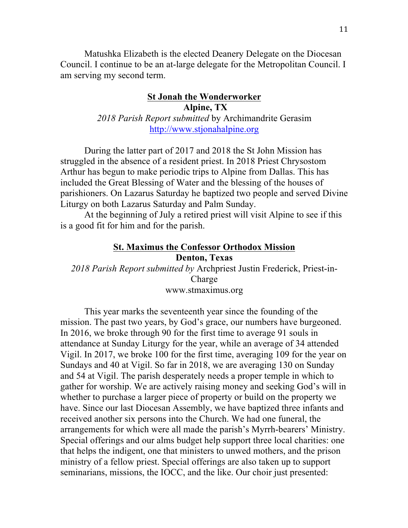Matushka Elizabeth is the elected Deanery Delegate on the Diocesan Council. I continue to be an at-large delegate for the Metropolitan Council. I am serving my second term.

### **St Jonah the Wonderworker Alpine, TX** *2018 Parish Report submitted* by Archimandrite Gerasim http://www.stjonahalpine.org

During the latter part of 2017 and 2018 the St John Mission has struggled in the absence of a resident priest. In 2018 Priest Chrysostom Arthur has begun to make periodic trips to Alpine from Dallas. This has included the Great Blessing of Water and the blessing of the houses of parishioners. On Lazarus Saturday he baptized two people and served Divine Liturgy on both Lazarus Saturday and Palm Sunday.

At the beginning of July a retired priest will visit Alpine to see if this is a good fit for him and for the parish.

## **St. Maximus the Confessor Orthodox Mission Denton, Texas**

*2018 Parish Report submitted by* Archpriest Justin Frederick, Priest-in-Charge www.stmaximus.org

This year marks the seventeenth year since the founding of the mission. The past two years, by God's grace, our numbers have burgeoned. In 2016, we broke through 90 for the first time to average 91 souls in attendance at Sunday Liturgy for the year, while an average of 34 attended Vigil. In 2017, we broke 100 for the first time, averaging 109 for the year on Sundays and 40 at Vigil. So far in 2018, we are averaging 130 on Sunday and 54 at Vigil. The parish desperately needs a proper temple in which to gather for worship. We are actively raising money and seeking God's will in whether to purchase a larger piece of property or build on the property we have. Since our last Diocesan Assembly, we have baptized three infants and received another six persons into the Church. We had one funeral, the arrangements for which were all made the parish's Myrrh-bearers' Ministry. Special offerings and our alms budget help support three local charities: one that helps the indigent, one that ministers to unwed mothers, and the prison ministry of a fellow priest. Special offerings are also taken up to support seminarians, missions, the IOCC, and the like. Our choir just presented: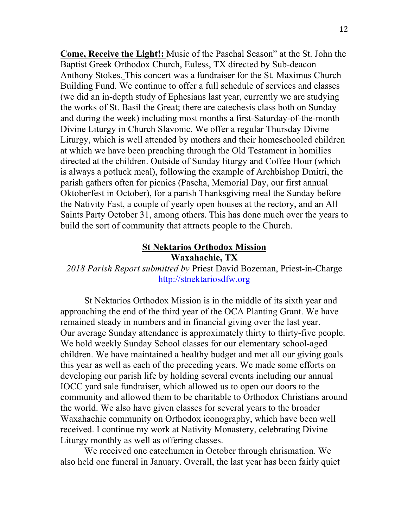**Come, Receive the Light!:** Music of the Paschal Season" at the St. John the Baptist Greek Orthodox Church, Euless, TX directed by Sub-deacon Anthony Stokes. This concert was a fundraiser for the St. Maximus Church Building Fund. We continue to offer a full schedule of services and classes (we did an in-depth study of Ephesians last year, currently we are studying the works of St. Basil the Great; there are catechesis class both on Sunday and during the week) including most months a first-Saturday-of-the-month Divine Liturgy in Church Slavonic. We offer a regular Thursday Divine Liturgy, which is well attended by mothers and their homeschooled children at which we have been preaching through the Old Testament in homilies directed at the children. Outside of Sunday liturgy and Coffee Hour (which is always a potluck meal), following the example of Archbishop Dmitri, the parish gathers often for picnics (Pascha, Memorial Day, our first annual Oktoberfest in October), for a parish Thanksgiving meal the Sunday before the Nativity Fast, a couple of yearly open houses at the rectory, and an All Saints Party October 31, among others. This has done much over the years to build the sort of community that attracts people to the Church.

### **St Nektarios Orthodox Mission Waxahachie, TX**

*2018 Parish Report submitted by* Priest David Bozeman, Priest-in-Charge http://stnektariosdfw.org

St Nektarios Orthodox Mission is in the middle of its sixth year and approaching the end of the third year of the OCA Planting Grant. We have remained steady in numbers and in financial giving over the last year. Our average Sunday attendance is approximately thirty to thirty-five people. We hold weekly Sunday School classes for our elementary school-aged children. We have maintained a healthy budget and met all our giving goals this year as well as each of the preceding years. We made some efforts on developing our parish life by holding several events including our annual IOCC yard sale fundraiser, which allowed us to open our doors to the community and allowed them to be charitable to Orthodox Christians around the world. We also have given classes for several years to the broader Waxahachie community on Orthodox iconography, which have been well received. I continue my work at Nativity Monastery, celebrating Divine Liturgy monthly as well as offering classes.

We received one catechumen in October through chrismation. We also held one funeral in January. Overall, the last year has been fairly quiet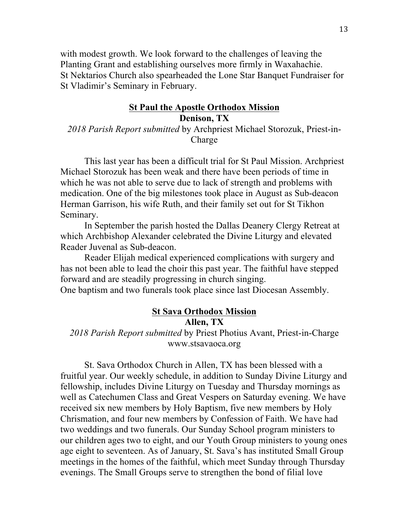with modest growth. We look forward to the challenges of leaving the Planting Grant and establishing ourselves more firmly in Waxahachie. St Nektarios Church also spearheaded the Lone Star Banquet Fundraiser for St Vladimir's Seminary in February.

### **St Paul the Apostle Orthodox Mission Denison, TX**

# *2018 Parish Report submitted* by Archpriest Michael Storozuk, Priest-in-Charge

This last year has been a difficult trial for St Paul Mission. Archpriest Michael Storozuk has been weak and there have been periods of time in which he was not able to serve due to lack of strength and problems with medication. One of the big milestones took place in August as Sub-deacon Herman Garrison, his wife Ruth, and their family set out for St Tikhon Seminary.

In September the parish hosted the Dallas Deanery Clergy Retreat at which Archbishop Alexander celebrated the Divine Liturgy and elevated Reader Juvenal as Sub-deacon.

Reader Elijah medical experienced complications with surgery and has not been able to lead the choir this past year. The faithful have stepped forward and are steadily progressing in church singing.

One baptism and two funerals took place since last Diocesan Assembly.

### **St Sava Orthodox Mission Allen, TX**

*2018 Parish Report submitted* by Priest Photius Avant, Priest-in-Charge www.stsavaoca.org

St. Sava Orthodox Church in Allen, TX has been blessed with a fruitful year. Our weekly schedule, in addition to Sunday Divine Liturgy and fellowship, includes Divine Liturgy on Tuesday and Thursday mornings as well as Catechumen Class and Great Vespers on Saturday evening. We have received six new members by Holy Baptism, five new members by Holy Chrismation, and four new members by Confession of Faith. We have had two weddings and two funerals. Our Sunday School program ministers to our children ages two to eight, and our Youth Group ministers to young ones age eight to seventeen. As of January, St. Sava's has instituted Small Group meetings in the homes of the faithful, which meet Sunday through Thursday evenings. The Small Groups serve to strengthen the bond of filial love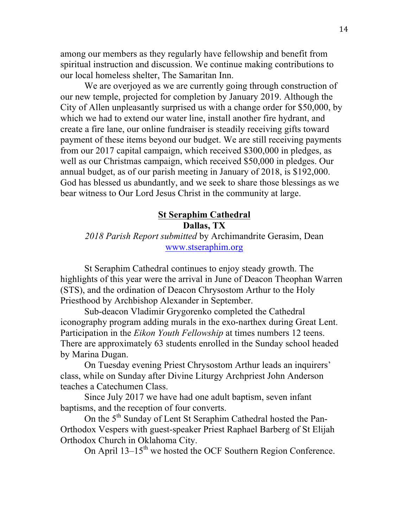among our members as they regularly have fellowship and benefit from spiritual instruction and discussion. We continue making contributions to our local homeless shelter, The Samaritan Inn.

We are overjoyed as we are currently going through construction of our new temple, projected for completion by January 2019. Although the City of Allen unpleasantly surprised us with a change order for \$50,000, by which we had to extend our water line, install another fire hydrant, and create a fire lane, our online fundraiser is steadily receiving gifts toward payment of these items beyond our budget. We are still receiving payments from our 2017 capital campaign, which received \$300,000 in pledges, as well as our Christmas campaign, which received \$50,000 in pledges. Our annual budget, as of our parish meeting in January of 2018, is \$192,000. God has blessed us abundantly, and we seek to share those blessings as we bear witness to Our Lord Jesus Christ in the community at large.

### **St Seraphim Cathedral**

**Dallas, TX**

*2018 Parish Report submitted* by Archimandrite Gerasim, Dean www.stseraphim.org

St Seraphim Cathedral continues to enjoy steady growth. The highlights of this year were the arrival in June of Deacon Theophan Warren (STS), and the ordination of Deacon Chrysostom Arthur to the Holy Priesthood by Archbishop Alexander in September.

Sub-deacon Vladimir Grygorenko completed the Cathedral iconography program adding murals in the exo-narthex during Great Lent. Participation in the *Eikon Youth Fellowship* at times numbers 12 teens. There are approximately 63 students enrolled in the Sunday school headed by Marina Dugan.

On Tuesday evening Priest Chrysostom Arthur leads an inquirers' class, while on Sunday after Divine Liturgy Archpriest John Anderson teaches a Catechumen Class.

Since July 2017 we have had one adult baptism, seven infant baptisms, and the reception of four converts.

On the 5<sup>th</sup> Sunday of Lent St Seraphim Cathedral hosted the Pan-Orthodox Vespers with guest-speaker Priest Raphael Barberg of St Elijah Orthodox Church in Oklahoma City.

On April 13–15<sup>th</sup> we hosted the OCF Southern Region Conference.